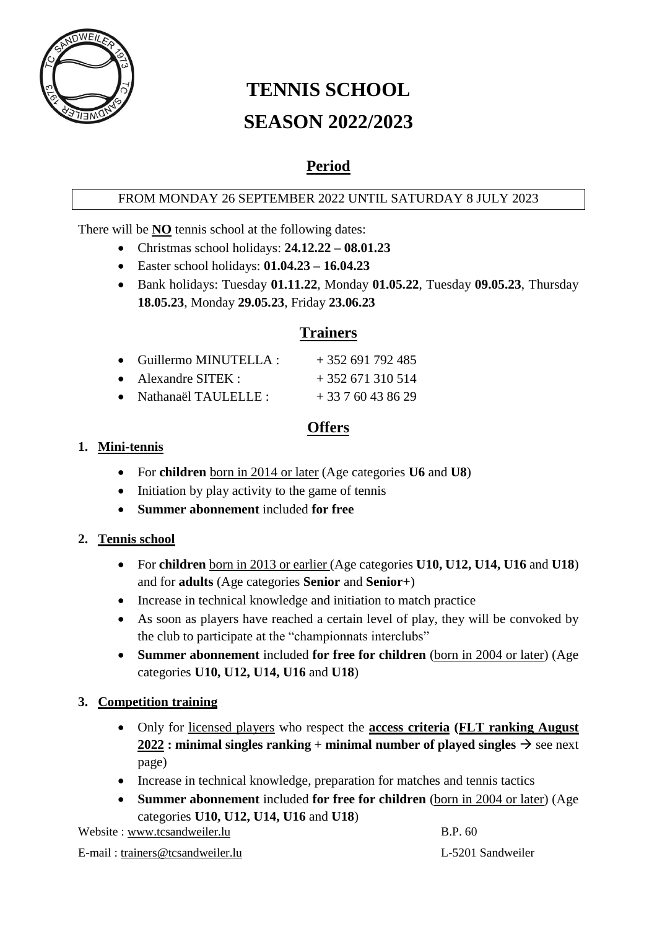

# **TENNIS SCHOOL SEASON 2022/2023**

## **Period**

#### FROM MONDAY 26 SEPTEMBER 2022 UNTIL SATURDAY 8 JULY 2023

There will be **NO** tennis school at the following dates:

- Christmas school holidays: **24.12.22 – 08.01.23**
	- Easter school holidays: **01.04.23 – 16.04.23**
	- Bank holidays: Tuesday **01.11.22**, Monday **01.05.22**, Tuesday **09.05.23**, Thursday **18.05.23**, Monday **29.05.23**, Friday **23.06.23**

## **Trainers**

| $\bullet$ Guillermo MINUTELLA : | $+352691792485$ |
|---------------------------------|-----------------|
| $\bullet$ Alexandre SITEK :     | $+352671310514$ |
| • Nathanaël TAULELLE:           | $+33760438629$  |

## **Offers**

#### **1. Mini-tennis**

- For **children** born in 2014 or later (Age categories **U6** and **U8**)
- Initiation by play activity to the game of tennis
- **Summer abonnement** included **for free**

#### **2. Tennis school**

- For **children** born in 2013 or earlier (Age categories **U10, U12, U14, U16** and **U18**) and for **adults** (Age categories **Senior** and **Senior+**)
- Increase in technical knowledge and initiation to match practice
- As soon as players have reached a certain level of play, they will be convoked by the club to participate at the "championnats interclubs"
- **Summer abonnement** included **for free for children** (born in 2004 or later) (Age categories **U10, U12, U14, U16** and **U18**)

#### **3. Competition training**

- Only for licensed players who respect the **access criteria (FLT ranking August 2022** : minimal singles ranking + minimal number of played singles  $\rightarrow$  see next page)
- Increase in technical knowledge, preparation for matches and tennis tactics
- **Summer abonnement** included **for free for children** (born in 2004 or later) (Age categories **U10, U12, U14, U16** and **U18**)

Website : [www.tcsandweiler.lu](http://www.tcsandweiler.lu/) B.P. 60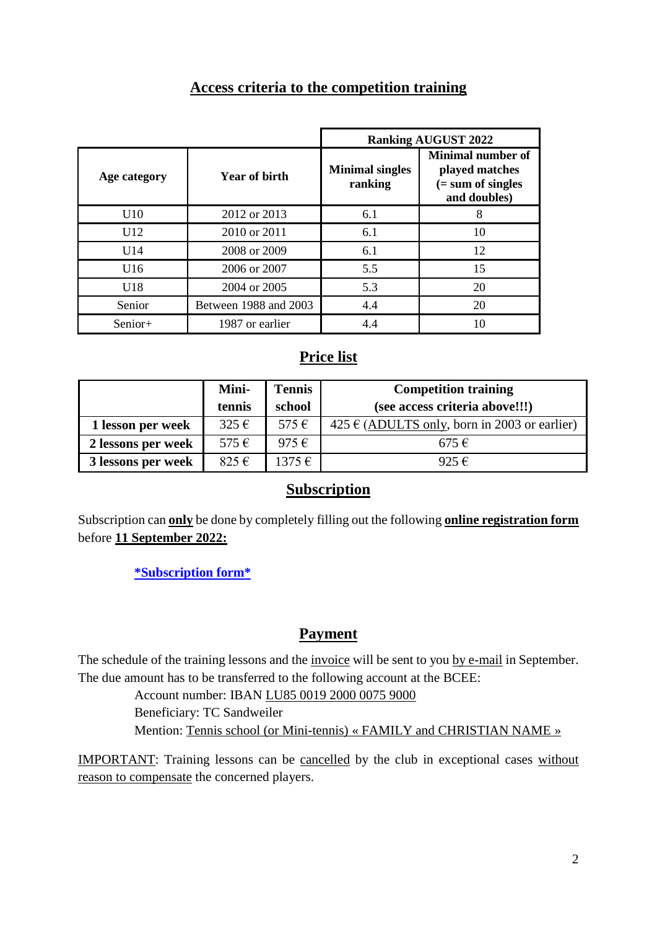## **Access criteria to the competition training**

|              |                       |                                   | <b>Ranking AUGUST 2022</b>                                                         |
|--------------|-----------------------|-----------------------------------|------------------------------------------------------------------------------------|
| Age category | Year of birth         | <b>Minimal singles</b><br>ranking | <b>Minimal number of</b><br>played matches<br>$( = sum of single)$<br>and doubles) |
| U10          | 2012 or 2013          | 6.1                               | 8                                                                                  |
| U12          | 2010 or 2011          | 6.1                               | 10                                                                                 |
| U14          | 2008 or 2009          | 6.1                               | 12                                                                                 |
| U16          | 2006 or 2007          | 5.5                               | 15                                                                                 |
| U18          | 2004 or 2005          | 5.3                               | 20                                                                                 |
| Senior       | Between 1988 and 2003 | 4.4                               | 20                                                                                 |
| Senior+      | 1987 or earlier       | 4.4                               | 10                                                                                 |

## **Price list**

|                    | Mini-     | <b>Tennis</b>  | <b>Competition training</b>                                   |
|--------------------|-----------|----------------|---------------------------------------------------------------|
|                    | tennis    | school         | (see access criteria above!!!)                                |
| 1 lesson per week  | $325 \in$ | $575 \in$      | $425 \text{ }\epsilon$ (ADULTS only, born in 2003 or earlier) |
| 2 lessons per week | $575 \in$ | 975 $\epsilon$ | $675 \in$                                                     |
| 3 lessons per week | $825 \in$ | $1375 \in$     | 925 $\epsilon$                                                |

## **Subscription**

Subscription can **only** be done by completely filling out the following **online registration form** before **11 September 2022:**

**[\\*Subscription form\\*](https://docs.google.com/forms/d/e/1FAIpQLScN81BFUbYZcM12N2l4AeHYibWqWA_zgGdzJdRqqtMG01Jg-g/viewform?usp=pp_url)**

## **Payment**

The schedule of the training lessons and the invoice will be sent to you by e-mail in September. The due amount has to be transferred to the following account at the BCEE:

> Account number: IBAN LU85 0019 2000 0075 9000 Beneficiary: TC Sandweiler Mention: Tennis school (or Mini-tennis) « FAMILY and CHRISTIAN NAME »

IMPORTANT: Training lessons can be cancelled by the club in exceptional cases without reason to compensate the concerned players.